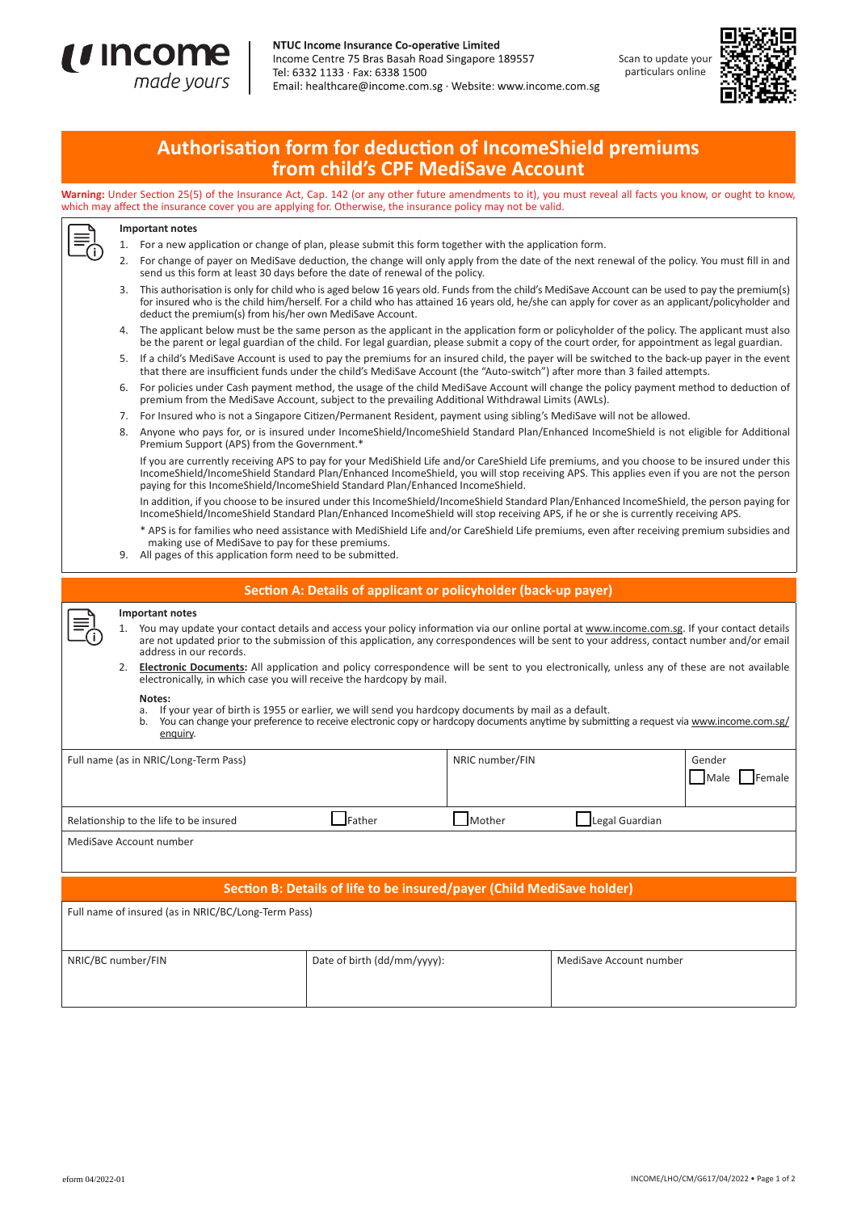



# **Authorisation form for deduction of IncomeShield premiums from child's CPF MediSave Account**

**Warning:** Under Section 25(5) of the Insurance Act, Cap. 142 (or any other future amendments to it), you must reveal all facts you know, or ought to know, which may affect the insurance cover you are applying for. Otherwise, the insurance policy may not be valid.



## **Important notes**

- 1. For a new application or change of plan, please submit this form together with the application form.
- 2. For change of payer on MediSave deduction, the change will only apply from the date of the next renewal of the policy. You must fill in and send us this form at least 30 days before the date of renewal of the policy.
- 3. This authorisation is only for child who is aged below 16 years old. Funds from the child's MediSave Account can be used to pay the premium(s) for insured who is the child him/herself. For a child who has attained 16 years old, he/she can apply for cover as an applicant/policyholder and deduct the premium(s) from his/her own MediSave Account.
- The applicant below must be the same person as the applicant in the application form or policyholder of the policy. The applicant must also be the parent or legal guardian of the child. For legal guardian, please submit a copy of the court order, for appointment as legal guardian.
- 5. If a child's MediSave Account is used to pay the premiums for an insured child, the payer will be switched to the back-up payer in the event that there are insufficient funds under the child's MediSave Account (the "Auto-switch") after more than 3 failed attempts.
- 6. For policies under Cash payment method, the usage of the child MediSave Account will change the policy payment method to deduction of premium from the MediSave Account, subject to the prevailing Additional Withdrawal Limits (AWLs).
- 7. For Insured who is not a Singapore Citizen/Permanent Resident, payment using sibling's MediSave will not be allowed.
- 8. Anyone who pays for, or is insured under IncomeShield/IncomeShield Standard Plan/Enhanced IncomeShield is not eligible for Additional Premium Support (APS) from the Government.\*

 If you are currently receiving APS to pay for your MediShield Life and/or CareShield Life premiums, and you choose to be insured under this IncomeShield/IncomeShield Standard Plan/Enhanced IncomeShield, you will stop receiving APS. This applies even if you are not the person paying for this IncomeShield/IncomeShield Standard Plan/Enhanced IncomeShield.

 In addition, if you choose to be insured under this IncomeShield/IncomeShield Standard Plan/Enhanced IncomeShield, the person paying for IncomeShield/IncomeShield Standard Plan/Enhanced IncomeShield will stop receiving APS, if he or she is currently receiving APS.

\* APS is for families who need assistance with MediShield Life and/or CareShield Life premiums, even after receiving premium subsidies and making use of MediSave to pay for these premiums.

9. All pages of this application form need to be submitted.

| Section A: Details of applicant or policyholder (back-up payer)        |                                                                                                                                                                                                                                                                                                                                                                                                                                                                                                                                                                                                                                                                                                                                                                                                                                                       |                                       |                             |                 |                         |                          |
|------------------------------------------------------------------------|-------------------------------------------------------------------------------------------------------------------------------------------------------------------------------------------------------------------------------------------------------------------------------------------------------------------------------------------------------------------------------------------------------------------------------------------------------------------------------------------------------------------------------------------------------------------------------------------------------------------------------------------------------------------------------------------------------------------------------------------------------------------------------------------------------------------------------------------------------|---------------------------------------|-----------------------------|-----------------|-------------------------|--------------------------|
|                                                                        | Important notes<br>You may update your contact details and access your policy information via our online portal at www.income.com.sg. If your contact details<br>1.<br>are not updated prior to the submission of this application, any correspondences will be sent to your address, contact number and/or email<br>address in our records.<br><b>Electronic Documents:</b> All application and policy correspondence will be sent to you electronically, unless any of these are not available<br>electronically, in which case you will receive the hardcopy by mail.<br>Notes:<br>If your year of birth is 1955 or earlier, we will send you hardcopy documents by mail as a default.<br>a.<br>You can change your preference to receive electronic copy or hardcopy documents anytime by submitting a request via www.income.com.sg/<br>enguiry. |                                       |                             |                 |                         |                          |
|                                                                        |                                                                                                                                                                                                                                                                                                                                                                                                                                                                                                                                                                                                                                                                                                                                                                                                                                                       | Full name (as in NRIC/Long-Term Pass) |                             | NRIC number/FIN |                         | Gender<br>Male<br>Female |
| Relationship to the life to be insured                                 |                                                                                                                                                                                                                                                                                                                                                                                                                                                                                                                                                                                                                                                                                                                                                                                                                                                       |                                       | Father                      | Mother          | Legal Guardian          |                          |
| MediSave Account number                                                |                                                                                                                                                                                                                                                                                                                                                                                                                                                                                                                                                                                                                                                                                                                                                                                                                                                       |                                       |                             |                 |                         |                          |
| Section B: Details of life to be insured/payer (Child MediSave holder) |                                                                                                                                                                                                                                                                                                                                                                                                                                                                                                                                                                                                                                                                                                                                                                                                                                                       |                                       |                             |                 |                         |                          |
| Full name of insured (as in NRIC/BC/Long-Term Pass)                    |                                                                                                                                                                                                                                                                                                                                                                                                                                                                                                                                                                                                                                                                                                                                                                                                                                                       |                                       |                             |                 |                         |                          |
| NRIC/BC number/FIN                                                     |                                                                                                                                                                                                                                                                                                                                                                                                                                                                                                                                                                                                                                                                                                                                                                                                                                                       |                                       | Date of birth (dd/mm/yyyy): |                 | MediSave Account number |                          |